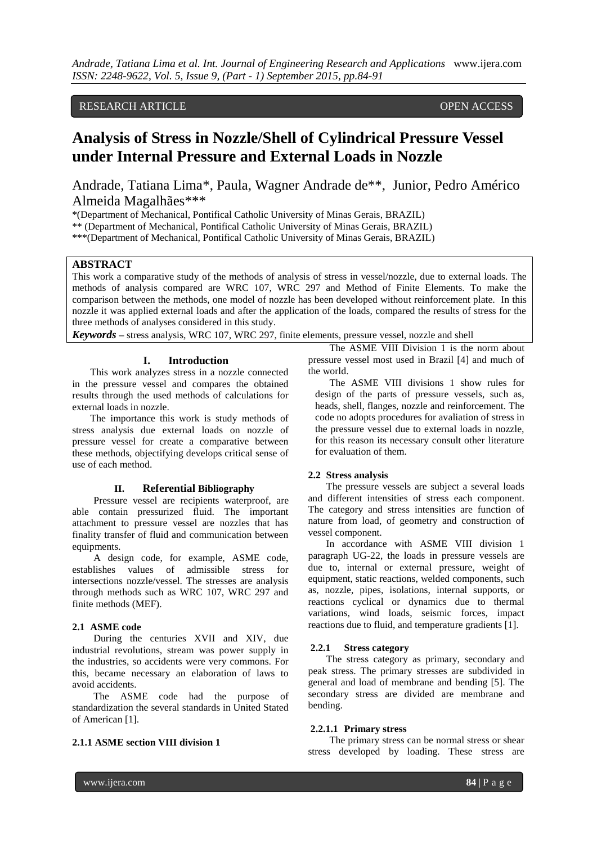# RESEARCH ARTICLE OPEN ACCESS

# **Analysis of Stress in Nozzle/Shell of Cylindrical Pressure Vessel under Internal Pressure and External Loads in Nozzle**

Andrade, Tatiana Lima\*, Paula, Wagner Andrade de\*\*, Junior, Pedro Américo Almeida Magalhães\*\*\*

\*(Department of Mechanical, Pontifical Catholic University of Minas Gerais, BRAZIL)

\*\* (Department of Mechanical, Pontifical Catholic University of Minas Gerais, BRAZIL)

\*\*\*(Department of Mechanical, Pontifical Catholic University of Minas Gerais, BRAZIL)

# **ABSTRACT**

This work a comparative study of the methods of analysis of stress in vessel/nozzle, due to external loads. The methods of analysis compared are WRC 107, WRC 297 and Method of Finite Elements. To make the comparison between the methods, one model of nozzle has been developed without reinforcement plate. In this nozzle it was applied external loads and after the application of the loads, compared the results of stress for the three methods of analyses considered in this study.

*Keywords* **–** stress analysis, WRC 107, WRC 297, finite elements, pressure vessel, nozzle and shell

# **I. Introduction**

This work analyzes stress in a nozzle connected in the pressure vessel and compares the obtained results through the used methods of calculations for external loads in nozzle.

The importance this work is study methods of stress analysis due external loads on nozzle of pressure vessel for create a comparative between these methods, objectifying develops critical sense of use of each method.

## **II. Referential Bibliography**

Pressure vessel are recipients waterproof, are able contain pressurized fluid. The important attachment to pressure vessel are nozzles that has finality transfer of fluid and communication between equipments.

A design code, for example, ASME code, establishes values of admissible stress for intersections nozzle/vessel. The stresses are analysis through methods such as WRC 107, WRC 297 and finite methods (MEF).

#### **2.1 ASME code**

During the centuries XVII and XIV, due industrial revolutions, stream was power supply in the industries, so accidents were very commons. For this, became necessary an elaboration of laws to avoid accidents.

The ASME code had the purpose of standardization the several standards in United Stated of American [1].

# **2.1.1 ASME section VIII division 1**

The ASME VIII Division 1 is the norm about pressure vessel most used in Brazil [4] and much of the world.

The ASME VIII divisions 1 show rules for design of the parts of pressure vessels, such as, heads, shell, flanges, nozzle and reinforcement. The code no adopts procedures for avaliation of stress in the pressure vessel due to external loads in nozzle, for this reason its necessary consult other literature for evaluation of them.

#### **2.2 Stress analysis**

The pressure vessels are subject a several loads and different intensities of stress each component. The category and stress intensities are function of nature from load, of geometry and construction of vessel component.

In accordance with ASME VIII division 1 paragraph UG-22, the loads in pressure vessels are due to, internal or external pressure, weight of equipment, static reactions, welded components, such as, nozzle, pipes, isolations, internal supports, or reactions cyclical or dynamics due to thermal variations, wind loads, seismic forces, impact reactions due to fluid, and temperature gradients [1].

## **2.2.1 Stress category**

The stress category as primary, secondary and peak stress. The primary stresses are subdivided in general and load of membrane and bending [5]. The secondary stress are divided are membrane and bending.

### **2.2.1.1 Primary stress**

The primary stress can be normal stress or shear stress developed by loading. These stress are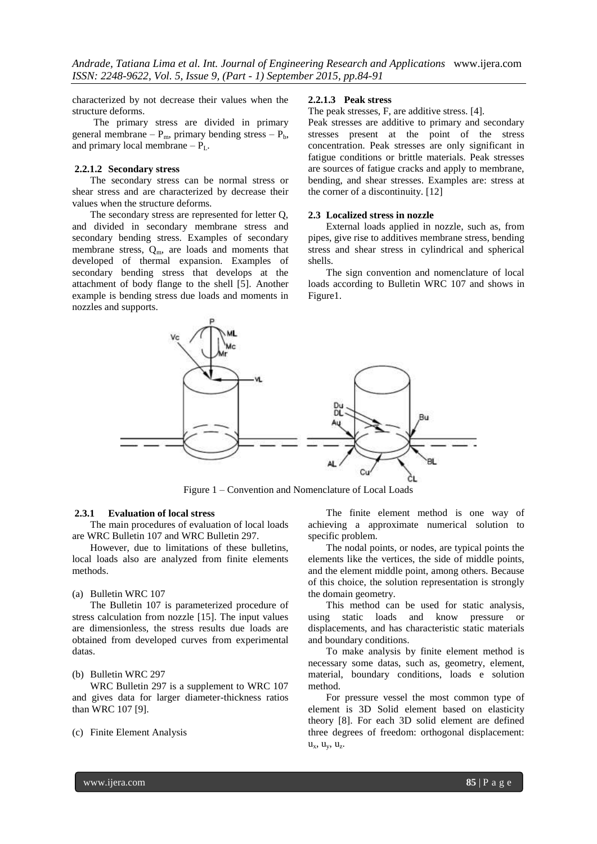characterized by not decrease their values when the structure deforms.

The primary stress are divided in primary general membrane –  $P_m$ , primary bending stress –  $P_b$ , and primary local membrane –  $P_{L}$ .

# **2.2.1.2 Secondary stress**

The secondary stress can be normal stress or shear stress and are characterized by decrease their values when the structure deforms.

The secondary stress are represented for letter Q, and divided in secondary membrane stress and secondary bending stress. Examples of secondary membrane stress,  $Q_m$ , are loads and moments that developed of thermal expansion. Examples of secondary bending stress that develops at the attachment of body flange to the shell [5]. Another example is bending stress due loads and moments in nozzles and supports.

#### **2.2.1.3 Peak stress**

The peak stresses, F, are additive stress. [4].

Peak stresses are additive to primary and secondary stresses present at the point of the stress concentration. Peak stresses are only significant in fatigue conditions or brittle materials. Peak stresses are sources of fatigue cracks and apply to membrane, bending, and shear stresses. Examples are: stress at the corner of a discontinuity. [12]

#### **2.3 Localized stress in nozzle**

External loads applied in nozzle, such as, from pipes, give rise to additives membrane stress, bending stress and shear stress in cylindrical and spherical shells.

The sign convention and nomenclature of local loads according to Bulletin WRC 107 and shows in Figure1.



Figure 1 – Convention and Nomenclature of Local Loads

#### **2.3.1 Evaluation of local stress**

The main procedures of evaluation of local loads are WRC Bulletin 107 and WRC Bulletin 297.

However, due to limitations of these bulletins, local loads also are analyzed from finite elements methods.

#### (a) Bulletin WRC 107

The Bulletin 107 is parameterized procedure of stress calculation from nozzle [15]. The input values are dimensionless, the stress results due loads are obtained from developed curves from experimental datas.

#### (b) Bulletin WRC 297

WRC Bulletin 297 is a supplement to WRC 107 and gives data for larger diameter-thickness ratios than WRC 107 [9].

#### (c) Finite Element Analysis

The finite element method is one way of achieving a approximate numerical solution to specific problem.

The nodal points, or nodes, are typical points the elements like the vertices, the side of middle points, and the element middle point, among others. Because of this choice, the solution representation is strongly the domain geometry.

This method can be used for static analysis, using static loads and know pressure or displacements, and has characteristic static materials and boundary conditions.

To make analysis by finite element method is necessary some datas, such as, geometry, element, material, boundary conditions, loads e solution method.

For pressure vessel the most common type of element is 3D Solid element based on elasticity theory [8]. For each 3D solid element are defined three degrees of freedom: orthogonal displacement:  $u_x$ ,  $u_y$ ,  $u_z$ .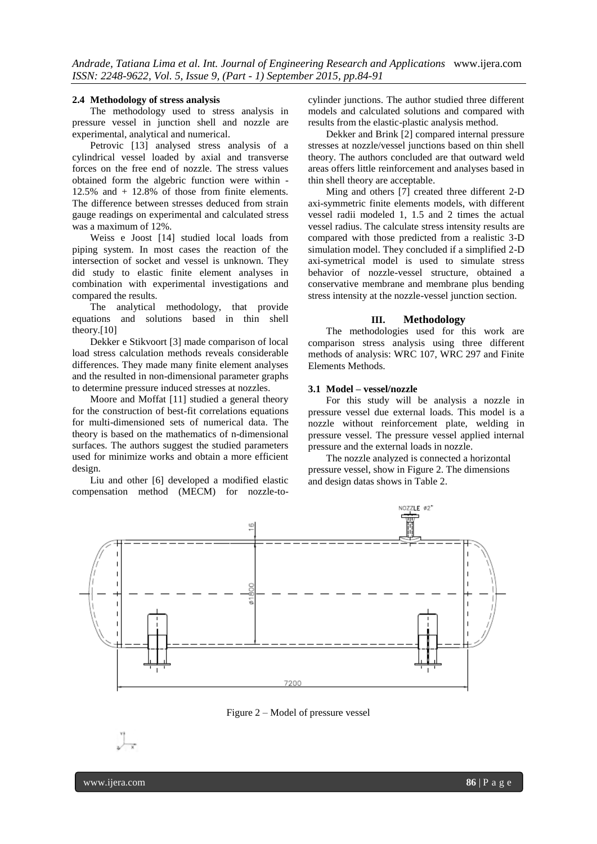#### **2.4 Methodology of stress analysis**

The methodology used to stress analysis in pressure vessel in junction shell and nozzle are experimental, analytical and numerical.

Petrovic [13] analysed stress analysis of a cylindrical vessel loaded by axial and transverse forces on the free end of nozzle. The stress values obtained form the algebric function were within - 12.5% and + 12.8% of those from finite elements. The difference between stresses deduced from strain gauge readings on experimental and calculated stress was a maximum of 12%.

Weiss e Joost [14] studied local loads from piping system. In most cases the reaction of the intersection of socket and vessel is unknown. They did study to elastic finite element analyses in combination with experimental investigations and compared the results.

The analytical methodology, that provide equations and solutions based in thin shell theory.[10]

Dekker e Stikvoort [3] made comparison of local load stress calculation methods reveals considerable differences. They made many finite element analyses and the resulted in non-dimensional parameter graphs to determine pressure induced stresses at nozzles.

Moore and Moffat [11] studied a general theory for the construction of best-fit correlations equations for multi-dimensioned sets of numerical data. The theory is based on the mathematics of n-dimensional surfaces. The authors suggest the studied parameters used for minimize works and obtain a more efficient design.

Liu and other [6] developed a modified elastic compensation method (MECM) for nozzle-to-

cylinder junctions. The author studied three different models and calculated solutions and compared with results from the elastic-plastic analysis method.

Dekker and Brink [2] compared internal pressure stresses at nozzle/vessel junctions based on thin shell theory. The authors concluded are that outward weld areas offers little reinforcement and analyses based in thin shell theory are acceptable.

Ming and others [7] created three different 2-D axi-symmetric finite elements models, with different vessel radii modeled 1, 1.5 and 2 times the actual vessel radius. The calculate stress intensity results are compared with those predicted from a realistic 3-D simulation model. They concluded if a simplified 2-D axi-symetrical model is used to simulate stress behavior of nozzle-vessel structure, obtained a conservative membrane and membrane plus bending stress intensity at the nozzle-vessel junction section.

#### **III. Methodology**

The methodologies used for this work are comparison stress analysis using three different methods of analysis: WRC 107, WRC 297 and Finite Elements Methods.

# **3.1 Model – vessel/nozzle**

For this study will be analysis a nozzle in pressure vessel due external loads. This model is a nozzle without reinforcement plate, welding in pressure vessel. The pressure vessel applied internal pressure and the external loads in nozzle.

The nozzle analyzed is connected a horizontal pressure vessel, show in Figure 2. The dimensions and design datas shows in Table 2.



Figure 2 – Model of pressure vessel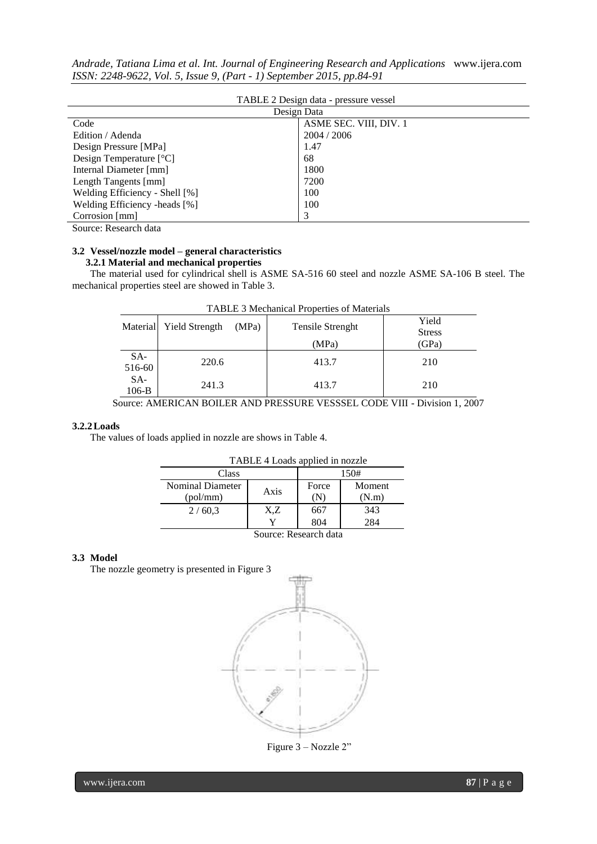|                                                                       |  |  | Andrade, Tatiana Lima et al. Int. Journal of Engineering Research and Applications www.ijera.com |  |
|-----------------------------------------------------------------------|--|--|--------------------------------------------------------------------------------------------------|--|
| ISSN: 2248-9622, Vol. 5, Issue 9, (Part - 1) September 2015, pp.84-91 |  |  |                                                                                                  |  |

| TABLE 2 Design data - pressure vessel |                        |  |  |  |  |
|---------------------------------------|------------------------|--|--|--|--|
|                                       | Design Data            |  |  |  |  |
| Code                                  | ASME SEC. VIII, DIV. 1 |  |  |  |  |
| Edition / Adenda                      | 2004 / 2006            |  |  |  |  |
| Design Pressure [MPa]                 | 1.47                   |  |  |  |  |
| Design Temperature $[°C]$             | 68                     |  |  |  |  |
| Internal Diameter [mm]                | 1800                   |  |  |  |  |
| Length Tangents [mm]                  | 7200                   |  |  |  |  |
| Welding Efficiency - Shell [%]        | 100                    |  |  |  |  |
| Welding Efficiency -heads [%]         | 100                    |  |  |  |  |
| Corrosion [mm]                        | 3                      |  |  |  |  |

Source: Research data

# **3.2 Vessel/nozzle model – general characteristics 3.2.1 Material and mechanical properties**

The material used for cylindrical shell is ASME SA-516 60 steel and nozzle ASME SA-106 B steel. The mechanical properties steel are showed in Table 3.

| TADLE 3 Meetianical I topernes of Materials |                       |       |                         |                        |  |  |  |
|---------------------------------------------|-----------------------|-------|-------------------------|------------------------|--|--|--|
| Material                                    | <b>Yield Strength</b> | (MPa) | <b>Tensile Strenght</b> | Yield<br><b>Stress</b> |  |  |  |
|                                             |                       |       | (MPa)                   | (GPa)                  |  |  |  |
| SA-<br>516-60                               | 220.6                 |       | 413.7                   | 210                    |  |  |  |
| $SA-$<br>$106-B$                            | 241.3                 |       | 413.7                   | 210                    |  |  |  |

| TABLE 3 Mechanical Properties of Materials |  |  |
|--------------------------------------------|--|--|
|--------------------------------------------|--|--|

Source: AMERICAN BOILER AND PRESSURE VESSSEL CODE VIII - Division 1, 2007

# **3.2.2Loads**

The values of loads applied in nozzle are shows in Table 4.

| TABLE 4 Loads applied in nozzle      |      |                                 |     |  |  |  |
|--------------------------------------|------|---------------------------------|-----|--|--|--|
| Class                                | 150# |                                 |     |  |  |  |
| Nominal Diameter<br>Axis<br>(pol/mm) |      | Force<br>Moment<br>(N.m)<br>(IN |     |  |  |  |
| 2/60,3                               | X,Z  | 667                             | 343 |  |  |  |
|                                      | v    | 804                             | 284 |  |  |  |
| Source: Research data                |      |                                 |     |  |  |  |

# **3.3 Model**

The nozzle geometry is presented in Figure 3



Figure 3 – Nozzle 2"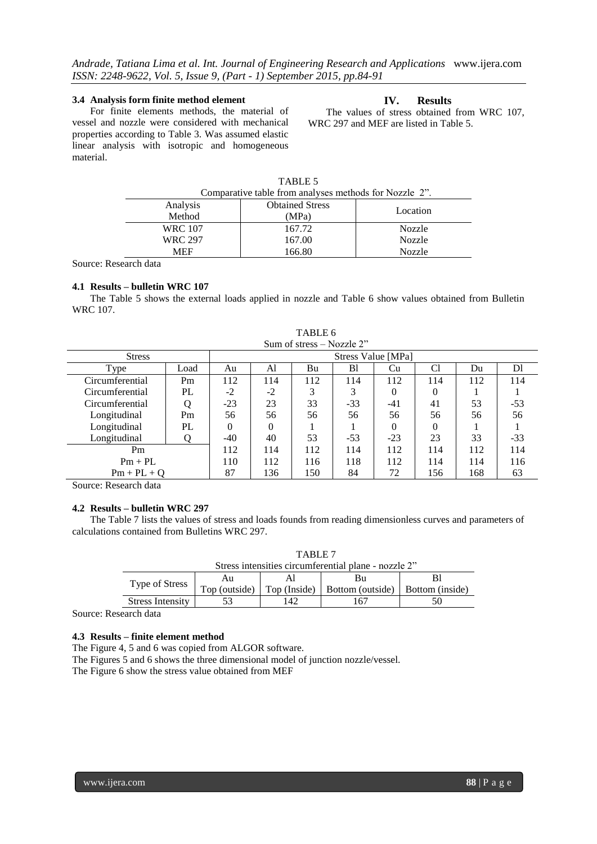# **3.4 Analysis form finite method element**

For finite elements methods, the material of vessel and nozzle were considered with mechanical properties according to Table 3. Was assumed elastic linear analysis with isotropic and homogeneous material.

# **IV. Results**

The values of stress obtained from WRC 107, WRC 297 and MEF are listed in Table 5.

| TABLE <sub>3</sub>                                     |                        |               |  |  |  |  |
|--------------------------------------------------------|------------------------|---------------|--|--|--|--|
| Comparative table from analyses methods for Nozzle 2". |                        |               |  |  |  |  |
| Analysis                                               | <b>Obtained Stress</b> | Location      |  |  |  |  |
| Method<br>(MPa)                                        |                        |               |  |  |  |  |
| <b>WRC 107</b>                                         | 167.72                 | Nozzle        |  |  |  |  |
| <b>WRC 297</b>                                         | 167.00                 | Nozzle        |  |  |  |  |
| <b>MEF</b>                                             | 166.80                 | <b>Nozzle</b> |  |  |  |  |

 $TAPTE$ 

Source: Research data

#### **4.1 Results – bulletin WRC 107**

The Table 5 shows the external loads applied in nozzle and Table 6 show values obtained from Bulletin WRC 107.

| Sum of stress $-$ Nozzle 2 <sup>22</sup> |                |                    |      |     |       |          |     |     |       |
|------------------------------------------|----------------|--------------------|------|-----|-------|----------|-----|-----|-------|
| <b>Stress</b>                            |                | Stress Value [MPa] |      |     |       |          |     |     |       |
| Type                                     | Load           | Au                 | Al   | Bu  | B1    | Cu       | C1  | Du  | DI    |
| Circumferential                          | P <sub>m</sub> | 112                | 114  | 112 | 114   | 112      | 114 | 112 | 114   |
| Circumferential                          | PL             | $-2$               | $-2$ |     | 3     | $\theta$ | 0   |     |       |
| Circumferential                          |                | $-23$              | 23   | 33  | $-33$ | -41      | 41  | 53  | $-53$ |
| Longitudinal                             | Pm             | 56                 | 56   | 56  | 56    | 56       | 56  | 56  | 56    |
| Longitudinal                             | PL             | 0                  | 0    |     |       | $\Omega$ | 0   |     |       |
| Longitudinal                             |                | $-40$              | 40   | 53  | $-53$ | $-23$    | 23  | 33  | $-33$ |
| Pm                                       |                | 112                | 114  | 112 | 114   | 112      | 114 | 112 | 114   |
| $Pm + PL$                                |                | 110                | 112  | 116 | 118   | 112      | 114 | 114 | 116   |
| $Pm + PL + O$                            |                | 87                 | 136  | 150 | 84    | 72       | 156 | 168 | 63    |

TABLE 6 Sum of stress – Nozzle 2"

Source: Research data

# **4.2 Results – bulletin WRC 297**

The Table 7 lists the values of stress and loads founds from reading dimensionless curves and parameters of calculations contained from Bulletins WRC 297.

|                                                      | TARLE <sub>7</sub> |    |                                 |                 |  |  |  |  |
|------------------------------------------------------|--------------------|----|---------------------------------|-----------------|--|--|--|--|
| Stress intensities circumferential plane - nozzle 2" |                    |    |                                 |                 |  |  |  |  |
|                                                      | Bu<br>Au           |    |                                 |                 |  |  |  |  |
| Type of Stress                                       | Top (outside)      |    | Top (Inside)   Bottom (outside) | Bottom (inside) |  |  |  |  |
| <b>Stress Intensity</b>                              |                    | 42 |                                 |                 |  |  |  |  |

Source: Research data

## **4.3 Results – finite element method**

The Figure 4, 5 and 6 was copied from ALGOR software.

The Figures 5 and 6 shows the three dimensional model of junction nozzle/vessel.

The Figure 6 show the stress value obtained from MEF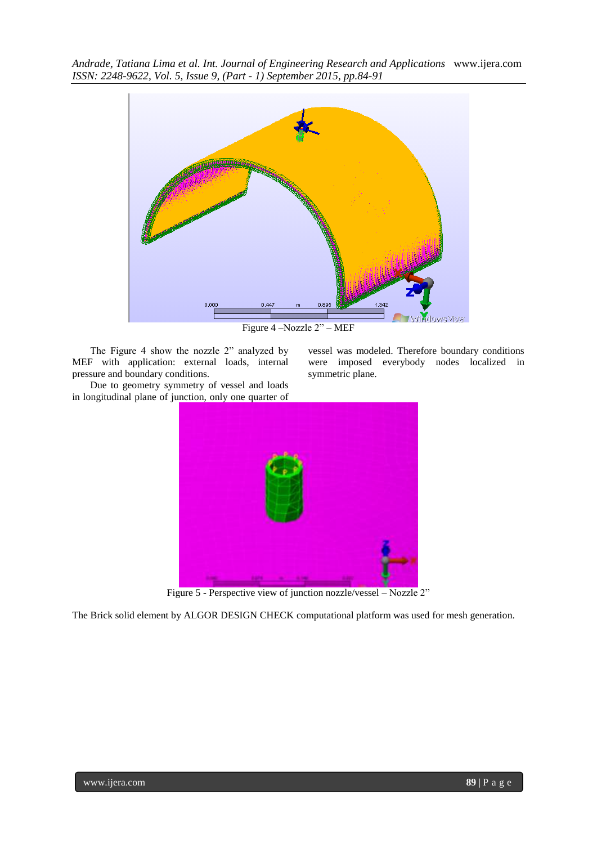

Figure 4 –Nozzle 2" – MEF

symmetric plane.

vessel was modeled. Therefore boundary conditions were imposed everybody nodes localized in

The Figure 4 show the nozzle 2" analyzed by MEF with application: external loads, internal pressure and boundary conditions.

Due to geometry symmetry of vessel and loads in longitudinal plane of junction, only one quarter of



Figure 5 - Perspective view of junction nozzle/vessel – Nozzle 2"

The Brick solid element by ALGOR DESIGN CHECK computational platform was used for mesh generation.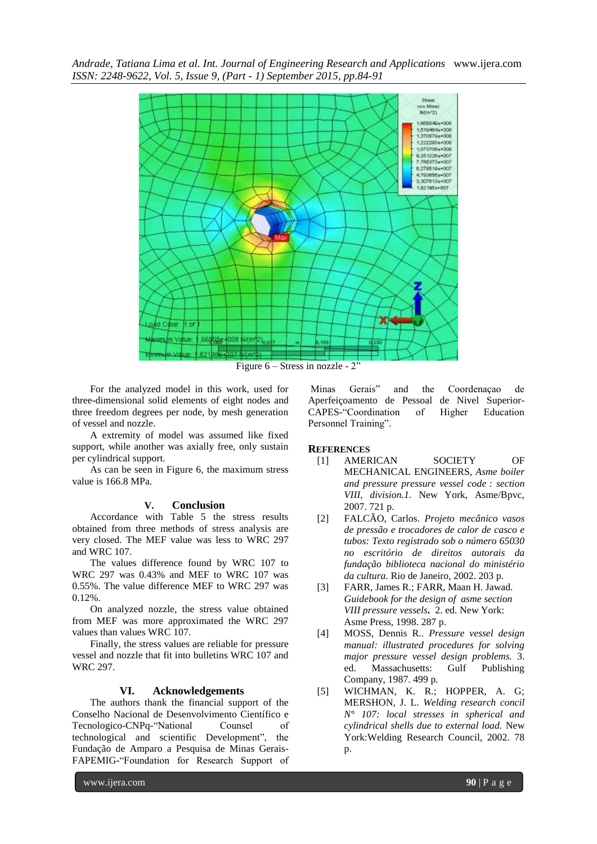

Figure 6 – Stress in nozzle - 2"

For the analyzed model in this work, used for three-dimensional solid elements of eight nodes and three freedom degrees per node, by mesh generation of vessel and nozzle.

A extremity of model was assumed like fixed support, while another was axially free, only sustain per cylindrical support.

As can be seen in Figure 6, the maximum stress value is 166.8 MPa.

## **V. Conclusion**

Accordance with Table 5 the stress results obtained from three methods of stress analysis are very closed. The MEF value was less to WRC 297 and WRC 107.

The values difference found by WRC 107 to WRC 297 was 0.43% and MEF to WRC 107 was 0.55%. The value difference MEF to WRC 297 was  $0.12%$ .

On analyzed nozzle, the stress value obtained from MEF was more approximated the WRC 297 values than values WRC 107.

Finally, the stress values are reliable for pressure vessel and nozzle that fit into bulletins WRC 107 and WRC 297.

# **VI. Acknowledgements**

The authors thank the financial support of the Conselho Nacional de Desenvolvimento Científico e Tecnologico-CNPq-"National Counsel of technological and scientific Development", the Fundação de Amparo a Pesquisa de Minas Gerais-FAPEMIG-"Foundation for Research Support of

Minas Gerais" and the Coordenaçao de Aperfeiçoamento de Pessoal de Nivel Superior-CAPES-"Coordination of Higher Education Personnel Training".

#### **REFERENCES**

- [1] AMERICAN SOCIETY OF MECHANICAL ENGINEERS, *Asme boiler and pressure pressure vessel code : section VIII, division.1.* New York, Asme/Bpvc, 2007. 721 p.
- [2] FALCÃO, Carlos. *Projeto mecânico vasos de pressão e trocadores de calor de casco e tubos: Texto registrado sob o número 65030 no escritório de direitos autorais da fundação biblioteca nacional do ministério da cultura.* Rio de Janeiro, 2002. 203 p.
- [3] FARR, James R.; FARR, Maan H. Jawad. *Guidebook for the design of asme section VIII pressure vessels***.** 2. ed. New York: Asme Press, 1998. 287 p.
- [4] MOSS, Dennis R.. *Pressure vessel design manual: illustrated procedures for solving major pressure vessel design problems.* 3. ed. Massachusetts: Gulf Publishing Company, 1987. 499 p.
- [5] WICHMAN, K. R.; HOPPER, A. G; MERSHON, J. L. *Welding research concil N° 107: local stresses in spherical and cylindrical shells due to external load.* New York:Welding Research Council, 2002. 78 p.